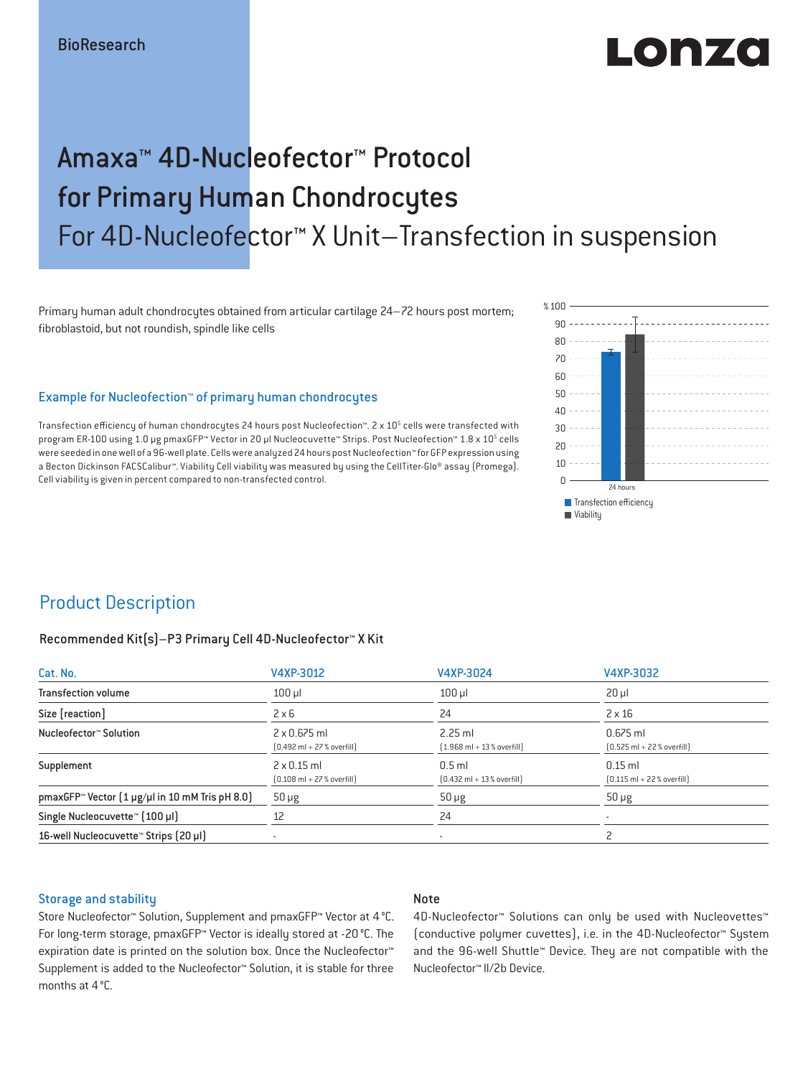# Lonzo

# Amaxa™ 4D-Nucleofector™ Protocol for Primary Human Chondrocytes For 4D-Nucleofector™ X Unit–Transfection in suspension

Primary human adult chondrocytes obtained from articular cartilage 24–72 hours post mortem; fibroblastoid, but not roundish, spindle like cells

#### Example for Nucleofection™ of primary human chondrocytes

Transfection efficiency of human chondrocytes 24 hours post Nucleofection™. 2 x 10<sup>5</sup> cells were transfected with program ER-100 using 1.0 µg pmaxGFP™ Vector in 20 µl Nucleocuvette™ Strips. Post Nucleofection™ 1.8 x 10<sup>5</sup> cells were seeded in one well of a 96-well plate. Cells were analyzed 24 hours post Nucleofection™ for GFP expression using a Becton Dickinson FACSCalibur™. Viability Cell viability was measured by using the CellTiter-Glo® assay (Promega). Cell viability is given in percent compared to non-transfected control.



### Product Description

#### Recommended Kit(s)–P3 Primary Cell 4D-Nucleofector™ X Kit

| Cat. No.                                                           | V4XP-3012                                                           | V4XP-3024                                                | V4XP-3032                                                  |  |
|--------------------------------------------------------------------|---------------------------------------------------------------------|----------------------------------------------------------|------------------------------------------------------------|--|
| <b>Transfection volume</b>                                         | $100$ $\mu$                                                         | $100$ $\mu$                                              | $20 \mu$                                                   |  |
| Size [reaction]                                                    | $2 \times 6$                                                        | 24                                                       | $2 \times 16$                                              |  |
| Nucleofector™ Solution                                             | $2 \times 0.675$ ml<br>$[0.492 \text{ ml} + 27 \text{ %} overfill]$ | $2.25$ ml<br>$[1.968 \text{ ml} + 13 % \text{overfill}]$ | $0.675$ ml<br>$[0.525 \text{ ml} + 22 \text{ % overfill}]$ |  |
| Supplement                                                         | $2 \times 0.15$ ml<br>$[0.108 \text{ ml} + 27 \text{ %} overfill]$  | $0.5$ ml<br>$[0.432 \text{ ml} + 13 \text{ %} overfill]$ | $0.15$ ml<br>$[0.115 \text{ ml} + 22 \text{ % overfill}]$  |  |
| pmaxGFP <sup>*</sup> Vector $(1 \mu g/\mu l$ in 10 mM Tris pH 8.0) | $50 \mu g$                                                          | $50 \mu g$                                               | $50 \mu g$                                                 |  |
| Single Nucleocuvette™ [100 µl]                                     | 12                                                                  | 24                                                       |                                                            |  |
| 16-well Nucleocuvette <sup>™</sup> Strips [20 µl]                  | $\overline{\phantom{a}}$                                            | $\sim$                                                   |                                                            |  |

#### Storage and stability

#### Note

Store Nucleofector™ Solution, Supplement and pmaxGFP™ Vector at 4 °C. For long-term storage, pmaxGFP™ Vector is ideally stored at -20 °C. The expiration date is printed on the solution box. Once the Nucleofector™ Supplement is added to the Nucleofector™ Solution, it is stable for three months at 4 °C.

4D-Nucleofector™ Solutions can only be used with Nucleovettes™ (conductive polymer cuvettes), i.e. in the 4D-Nucleofector™ System and the 96-well Shuttle™ Device. They are not compatible with the Nucleofector™ II/2b Device.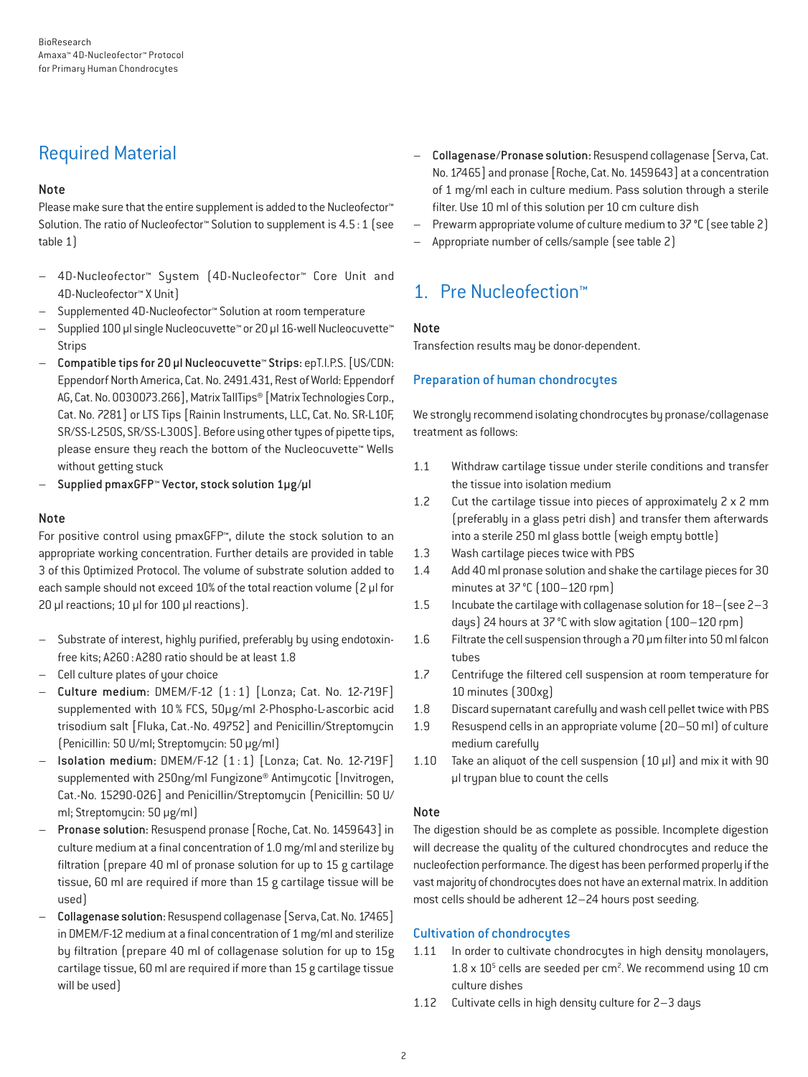# Required Material

#### Note

Please make sure that the entire supplement is added to the Nucleofector<sup>™</sup> Solution. The ratio of Nucleofector™ Solution to supplement is 4.5:1 (see table 1)

- 4D-Nucleofector™ System (4D-Nucleofector™ Core Unit and 4D-Nucleofector™ X Unit)
- Supplemented 4D-Nucleofector™ Solution at room temperature
- Supplied 100 µl single Nucleocuvette™ or 20 µl 16-well Nucleocuvette™ **Strips**
- Compatible tips for 20 µl Nucleocuvette™ Strips: epT.I.P.S. [US/CDN: Eppendorf North America, Cat. No. 2491.431, Rest of World: Eppendorf AG, Cat. No. 0030073.266], Matrix TallTips® [Matrix Technologies Corp., Cat. No. 7281] or LTS Tips [Rainin Instruments, LLC, Cat. No. SR-L10F, SR/SS-L250S, SR/SS-L300S]. Before using other types of pipette tips, please ensure they reach the bottom of the Nucleocuvette™ Wells without getting stuck
- Supplied pmaxGFP™ Vector, stock solution 1µg/µl

#### Note

For positive control using pmaxGFP™, dilute the stock solution to an appropriate working concentration. Further details are provided in table 3 of this Optimized Protocol. The volume of substrate solution added to each sample should not exceed 10% of the total reaction volume [2 µl for 20 µl reactions; 10 µl for 100 µl reactions).

- Substrate of interest, highly purified, preferably by using endotoxinfree kits; A260: A280 ratio should be at least 1.8
- Cell culture plates of your choice
- Culture medium: DMEM/F-12 (1 : 1) [Lonza; Cat. No. 12-719F] supplemented with 10 % FCS, 50μg/ml 2-Phospho-L-ascorbic acid trisodium salt [Fluka, Cat.-No. 49752] and Penicillin/Streptomycin (Penicillin: 50 U/ml; Streptomycin: 50 μg/ml)
- Isolation medium: DMEM/F-12 (1 : 1) [Lonza; Cat. No. 12-719F] supplemented with 250ng/ml Fungizone® Antimycotic [Invitrogen, Cat.-No. 15290-026] and Penicillin/Streptomycin (Penicillin: 50 U/ ml; Streptomycin: 50 μg/ml)
- Pronase solution: Resuspend pronase [Roche, Cat. No. 1459643] in culture medium at a final concentration of 1.0 mg/ml and sterilize by filtration (prepare 40 ml of pronase solution for up to 15 g cartilage tissue, 60 ml are required if more than 15 g cartilage tissue will be used)
- Collagenase solution: Resuspend collagenase [Serva, Cat. No. 17465] in DMEM/F-12 medium at a final concentration of 1 mg/ml and sterilize by filtration (prepare 40 ml of collagenase solution for up to 15g cartilage tissue, 60 ml are required if more than 15 g cartilage tissue will be used)
- Collagenase/Pronase solution: Resuspend collagenase [Serva, Cat. No. 17465] and pronase [Roche, Cat. No. 1459643] at a concentration of 1 mg/ml each in culture medium. Pass solution through a sterile filter. Use 10 ml of this solution per 10 cm culture dish
- Prewarm appropriate volume of culture medium to 37 °C (see table 2)
- Appropriate number of cells/sample (see table 2)

# 1. Pre Nucleofection™

#### Note

Transfection results may be donor-dependent.

#### Preparation of human chondrocytes

We strongly recommend isolating chondrocytes by pronase/collagenase treatment as follows:

- 1.1 Withdraw cartilage tissue under sterile conditions and transfer the tissue into isolation medium
- 1.2 Cut the cartilage tissue into pieces of approximately 2 x 2 mm (preferably in a glass petri dish) and transfer them afterwards into a sterile 250 ml glass bottle (weigh empty bottle)
- 1.3 Wash cartilage pieces twice with PBS
- 1.4 Add 40 ml pronase solution and shake the cartilage pieces for 30 minutes at 37°C (100–120 rpm)
- 1.5 Incubate the cartilage with collagenase solution for 18–(see 2–3 days) 24 hours at 37°C with slow agitation (100–120 rpm)
- 1.6 Filtrate the cell suspension through a 70 μm filter into 50 ml falcon tubes
- 1.7 Centrifuge the filtered cell suspension at room temperature for 10 minutes (300xg)
- 1.8 Discard supernatant carefully and wash cell pellet twice with PBS
- 1.9 Resuspend cells in an appropriate volume (20–50 ml) of culture medium carefully
- 1.10 Take an aliquot of the cell suspension (10 μl) and mix it with 90 μl trypan blue to count the cells

#### Note

The digestion should be as complete as possible. Incomplete digestion will decrease the quality of the cultured chondrocytes and reduce the nucleofection performance. The digest has been performed properly if the vast majority of chondrocytes does not have an external matrix. In addition most cells should be adherent 12–24 hours post seeding.

#### Cultivation of chondrocytes

- 1.11 In order to cultivate chondrocytes in high density monolayers,  $1.8 \times 10^5$  cells are seeded per cm<sup>2</sup>. We recommend using 10 cm culture dishes
- 1.12 Cultivate cells in high density culture for 2–3 days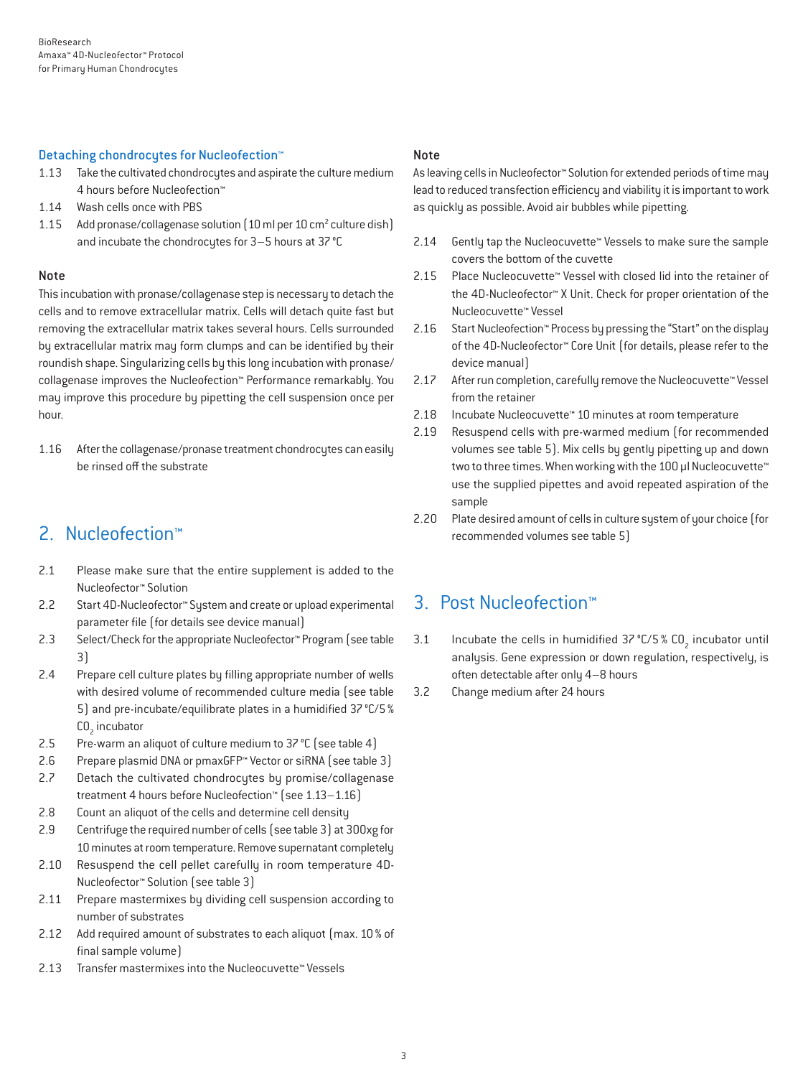#### Detaching chondrocytes for Nucleofection™

- 1.13 Take the cultivated chondrocytes and aspirate the culture medium 4 hours before Nucleofection™
- 1.14 Wash cells once with PBS
- 1.15 Add pronase/collagenase solution (10 ml per 10 cm<sup>2</sup> culture dish) and incubate the chondrocytes for 3–5 hours at 37°C

#### Note

This incubation with pronase/collagenase step is necessary to detach the cells and to remove extracellular matrix. Cells will detach quite fast but removing the extracellular matrix takes several hours. Cells surrounded by extracellular matrix may form clumps and can be identified by their roundish shape. Singularizing cells by this long incubation with pronase/ collagenase improves the Nucleofection™ Performance remarkably. You may improve this procedure by pipetting the cell suspension once per hour.

1.16 After the collagenase/pronase treatment chondrocytes can easily be rinsed off the substrate

## 2. Nucleofection™

- 2.1 Please make sure that the entire supplement is added to the Nucleofector™ Solution
- 2.2 Start 4D-Nucleofector™ System and create or upload experimental parameter file (for details see device manual)
- 2.3 Select/Check for the appropriate Nucleofector™ Program (see table 3)
- 2.4 Prepare cell culture plates by filling appropriate number of wells with desired volume of recommended culture media (see table 5) and pre-incubate/equilibrate plates in a humidified 37°C/5% CO<sub>2</sub> incubator
- 2.5 Pre-warm an aliquot of culture medium to 37 °C (see table 4)
- 2.6 Prepare plasmid DNA or pmaxGFP™ Vector or siRNA (see table 3)
- 2.7 Detach the cultivated chondrocytes by promise/collagenase treatment 4 hours before Nucleofection™ (see 1.13–1.16)
- 2.8 Count an aliquot of the cells and determine cell density
- 2.9 Centrifuge the required number of cells (see table 3) at 300xg for 10 minutes at room temperature. Remove supernatant completely
- 2.10 Resuspend the cell pellet carefully in room temperature 4D-Nucleofector™ Solution (see table 3)
- 2.11 Prepare mastermixes by dividing cell suspension according to number of substrates
- 2.12 Add required amount of substrates to each aliquot (max. 10% of final sample volume)
- 2.13 Transfer mastermixes into the Nucleocuvette™ Vessels

#### Note

As leaving cells in Nucleofector™ Solution for extended periods of time may lead to reduced transfection efficiency and viability it is important to work as quickly as possible. Avoid air bubbles while pipetting.

- 2.14 Gently tap the Nucleocuvette™ Vessels to make sure the sample covers the bottom of the cuvette
- 2.15 Place Nucleocuvette™ Vessel with closed lid into the retainer of the 4D-Nucleofector™ X Unit. Check for proper orientation of the Nucleocuvette™ Vessel
- 2.16 Start Nucleofection™ Process by pressing the "Start" on the display of the 4D-Nucleofector™ Core Unit (for details, please refer to the device manual)
- 2.17 After run completion, carefully remove the Nucleocuvette™ Vessel from the retainer
- 2.18 Incubate Nucleocuvette™ 10 minutes at room temperature
- 2.19 Resuspend cells with pre-warmed medium (for recommended volumes see table 5). Mix cells by gently pipetting up and down two to three times. When working with the 100 µl Nucleocuvette™ use the supplied pipettes and avoid repeated aspiration of the sample
- 2.20 Plate desired amount of cells in culture system of your choice (for recommended volumes see table 5)

### 3. Post Nucleofection™

- 3.1 Incubate the cells in humidified  $37^{\circ}$ C/5 % CO<sub>2</sub> incubator until analysis. Gene expression or down regulation, respectively, is often detectable after only 4–8 hours
- 3.2 Change medium after 24 hours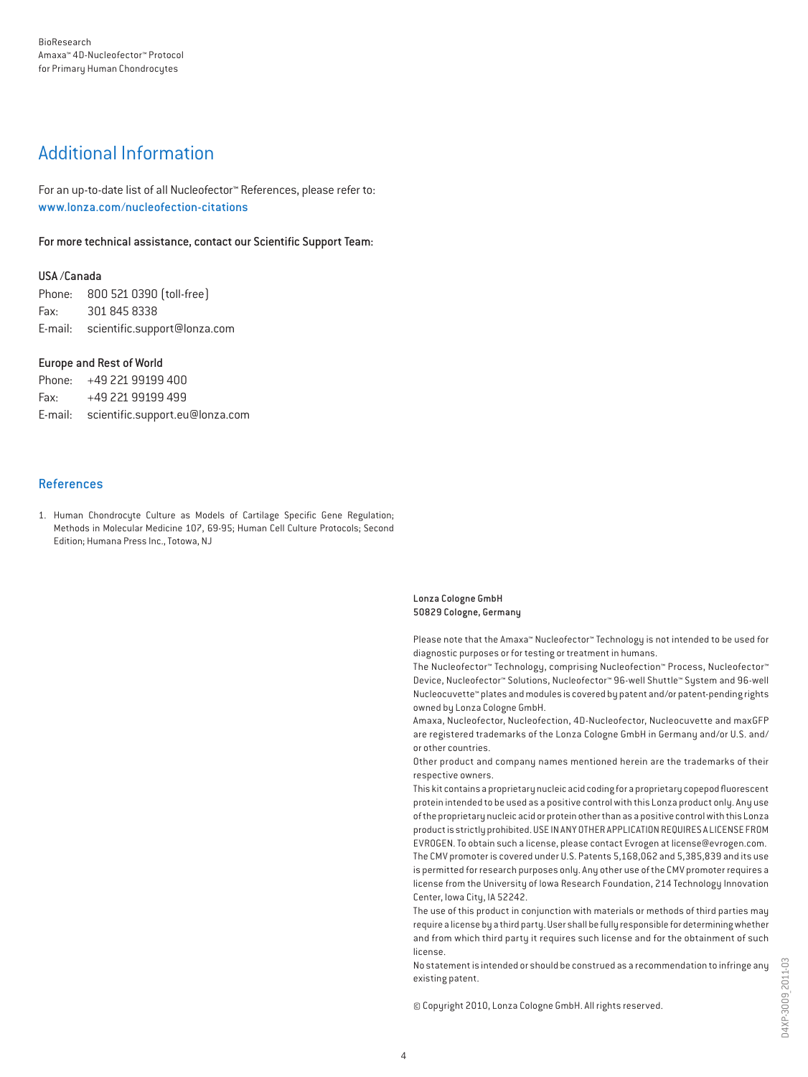# Additional Information

For an up-to-date list of all Nucleofector™ References, please refer to: www.lonza.com/nucleofection-citations

For more technical assistance, contact our Scientific Support Team:

#### USA /Canada

Phone: 800 521 0390 (toll-free) Fax: 301 845 8338 E-mail: scientific.support@lonza.com

#### Europe and Rest of World

Phone: +49 221 99199 400 Fax: +49 221 99199 499 E-mail: scientific.support.eu@lonza.com

#### References

1. Human Chondrocyte Culture as Models of Cartilage Specific Gene Regulation; Methods in Molecular Medicine 107, 69-95; Human Cell Culture Protocols; Second Edition; Humana Press Inc., Totowa, NJ

> Lonza Cologne GmbH 50829 Cologne, Germany

Please note that the Amaxa™ Nucleofector™ Technology is not intended to be used for diagnostic purposes or for testing or treatment in humans.

The Nucleofector™ Technology, comprising Nucleofection™ Process, Nucleofector™ Device, Nucleofector™ Solutions, Nucleofector™ 96-well Shuttle™ System and 96-well Nucleocuvette™ plates and modules is covered by patent and/or patent-pending rights owned by Lonza Cologne GmbH.

Amaxa, Nucleofector, Nucleofection, 4D-Nucleofector, Nucleocuvette and maxGFP are registered trademarks of the Lonza Cologne GmbH in Germany and/or U.S. and/ or other countries.

Other product and company names mentioned herein are the trademarks of their respective owners.

This kit contains a proprietary nucleic acid coding for a proprietary copepod fluorescent protein intended to be used as a positive control with this Lonza product only. Any use of the proprietary nucleic acid or protein other than as a positive control with this Lonza product is strictly prohibited. USE IN ANY OTHER APPLICATION REQUIRES A LICENSE FROM EVROGEN. To obtain such a license, please contact Evrogen at license@evrogen.com. The CMV promoter is covered under U.S. Patents 5,168,062 and 5,385,839 and its use is permitted for research purposes only. Any other use of the CMV promoter requires a license from the University of Iowa Research Foundation, 214 Technology Innovation Center, Iowa City, IA 52242.

The use of this product in conjunction with materials or methods of third parties may require a license by a third party. User shall be fully responsible for determining whether and from which third party it requires such license and for the obtainment of such license.

No statement is intended or should be construed as a recommendation to infringe any existing patent.

© Copyright 2010, Lonza Cologne GmbH. All rights reserved.